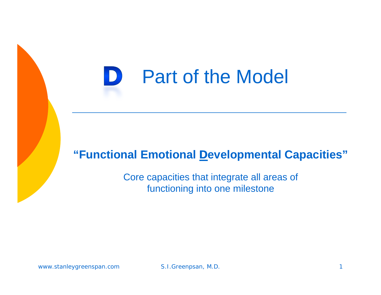#### D Part of the Model

#### **"Functional Emotional Developmental Capacities"**

Core capacities that integrate all areas of functioning into one milestone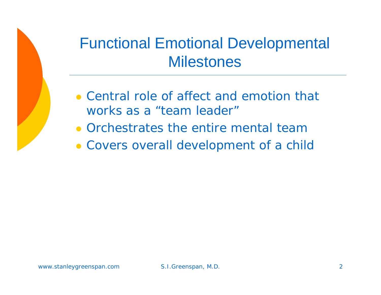#### Functional Emotional Developmental **Milestones**

- Central role of affect and emotion that works as a "team leader"
- Orchestrates the entire mental team
- Covers overall development of a child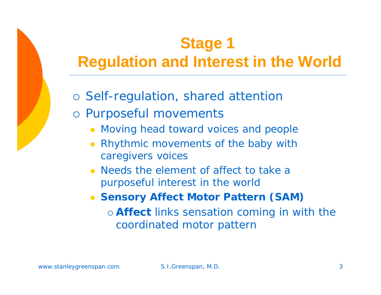## **Stage 1 Regulation and Interest in the World**

- o Self-regulation, shared attention
- o Purposeful movements
	- Moving head toward voices and people
	- $\bullet$  Rhythmic movements of the baby with caregivers voices
	- Needs the element of affect to take a purposeful interest in the world
	- $\bullet$  **Sensory Affect Motor Pattern (SAM)**
		- { **Affect** links sensation coming in with the coordinated motor pattern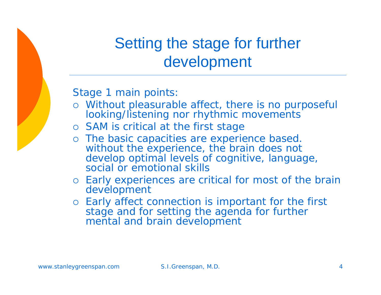

#### Setting the stage for further development

Stage 1 main points:

- { Without pleasurable affect, there is no purposeful looking/listening nor rhythmic movements
- o SAM is critical at the first stage
- o The basic capacities are experience based. without the experience, the brain does not develop optimal levels of cognitive, language, social or emotional skills
- { Early experiences are critical for most of the brain development
- { Early affect connection is important for the first stage and for setting the agenda for further mental and brain development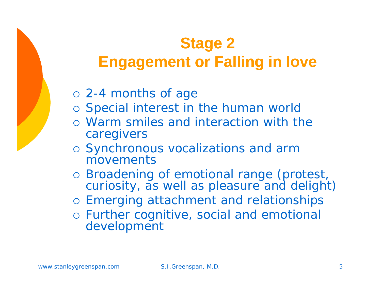## **Stage 2 Engagement or Falling in love**

- { 2-4 months of age
- o Special interest in the human world
- { Warm smiles and interaction with the caregivers
- o Synchronous vocalizations and arm movements
- o Broadening of emotional range (protest, curiosity, as well as pleasure and delight)
- o Emerging attachment and relationships
- o Further cognitive, social and emotional development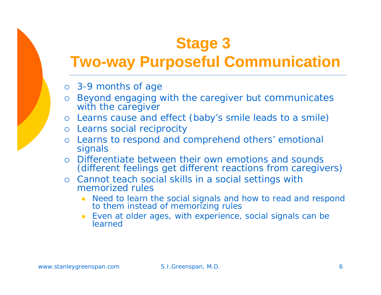# **Stage 3**

#### **Two-way Purposeful Communication**

- { 3-9 months of age
- o Beyond engaging with the caregiver but communicates with the caregiver
- { Learns cause and effect (baby's smile leads to a smile)
- { Learns social reciprocity
- { Learns to respond and comprehend others' emotional signals
- $\bigcirc$  Differentiate between their own emotions and sounds (different feelings get different reactions from caregivers)
- { Cannot teach social skills in a social settings with memorized rules
	- $\bullet$  Need to learn the social signals and how to read and respond to them instead of memorizing rules
	- $\bullet$  Even at older ages, with experience, social signals can be learned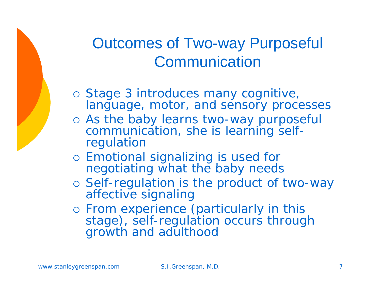## Outcomes of Two-way Purposeful **Communication**

- o Stage 3 introduces many cognitive, language, motor, and sensory processes
- o As the baby learns two-way purposeful communication, she is learning selfregulation
- { Emotional signalizing is used for negotiating what the baby needs
- o Self-regulation is the product of two-way affective signaling
- { From experience (particularly in this stage), self-regulation occurs through growth and adulthood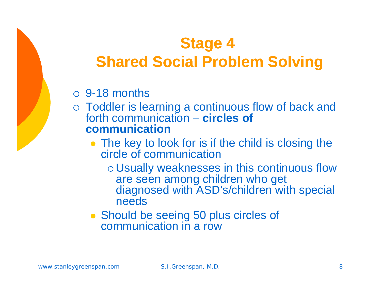## **Stage 4 Shared Social Problem Solving**

#### $\circ$  9-18 months

- o Toddler is learning a continuous flow of back and forth communication – **circles of communication**
	- $\bullet$  The key to look for is if the child is closing the circle of communication
		- o Usually weaknesses in this continuous flow are seen among children who get diagnosed with ASD's/children with special needs
	- Should be seeing 50 plus circles of communication in a row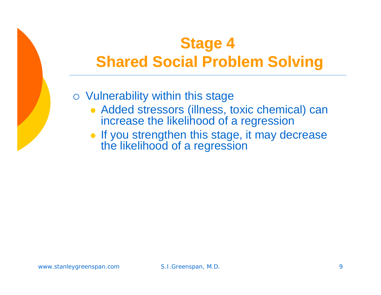## **Stage 4 Shared Social Problem Solving**

- $\circ$  Vulnerability within this stage
	- Added stressors (illness, toxic chemical) can increase the likelihood of a regression
	- If you strengthen this stage, it may decrease the likelihood of a regression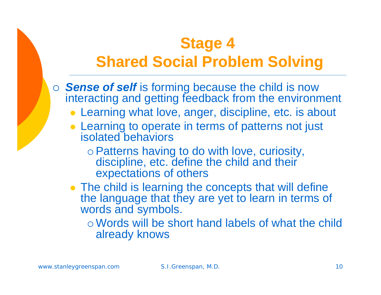#### **Stage 4 Shared Social Problem Solving**

- { *Sense of self* is forming because the child is now interacting and getting feedback from the environment
	- Learning what love, anger, discipline, etc. is about
	- Learning to operate in terms of patterns not just isolated behaviors
		- o Patterns having to do with love, curiosity, discipline, etc. define the child and their expectations of others
	- $\bullet$  The child is learning the concepts that will define the language that they are yet to learn in terms of words and symbols.

{ Words will be short hand labels of what the child already knows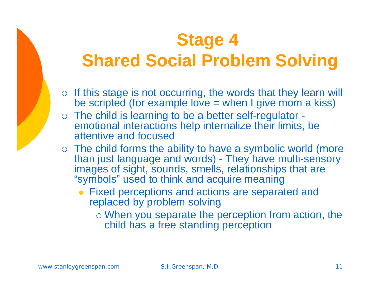# **Stage 4 Sh d S i l P bl S l i Shared Social Problem Solving**

- $\circ$  If this stage is not occurring, the words that they learn will be scripted (for example love  $=$  when I give mom a kiss)
- $\circ$  The child is learning to be a better self-regulator emotional interactions help internalize their limits, be attentive and focused
- $\circ$  The child forms the ability to have a symbolic world (more than just language and words) - They have multi-sensory images of sight, sounds, smells, relationships that are "symbols" used to think and acquire meaning
	- $\bullet$  Fixed perceptions and actions are separated and replaced by problem solving
		- $\circ$  When you separate the perception from action, the child has a free standing perception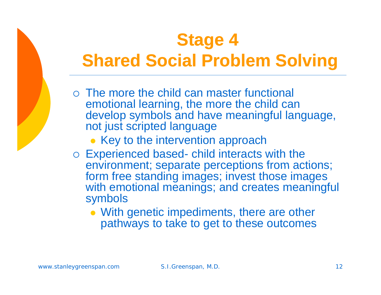# **Stage 4 Sh d S i l P bl S l i Shared Social Problem Solving**

- { The more the child can master functional emotional learning, the more the child can develop symbols and have meaningful language, not just scripted language
	- Key to the intervention approach
- $\circ$  Experienced based- child interacts with the environment; separate perceptions from actions; form free standing images; invest those images with emotional meanings; and creates meaningful symbols
	- With genetic impediments, there are other pathways to take to get to these outcomes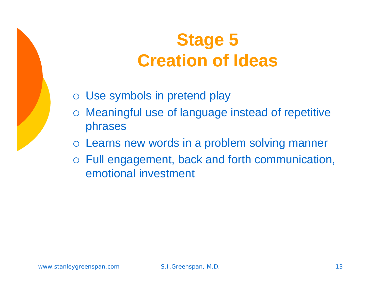## **Stage 5 Creation of Ideas**

- $\circ$  Use symbols in pretend play
- $\circ$  Meaningful use of language instead of repetitive phrases
- o Learns new words in a problem solving manner
- $\circ$  Full engagement, back and forth communication, emotional investment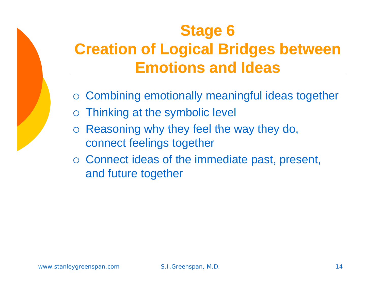## **Stage 6 C eat o <sup>r</sup> i n o og ca dges bet ee f Logical Bridges between Emotions and Ideas**

- $\circ$  Combining emotionally meaningful ideas together
- ${\bigcirc}$ Thinking at the symbolic level
- ${\bigcirc}$ Reasoning why they feel the way they do, connect feelings together
- $\circ$  Connect ideas of the immediate past, present, and future together